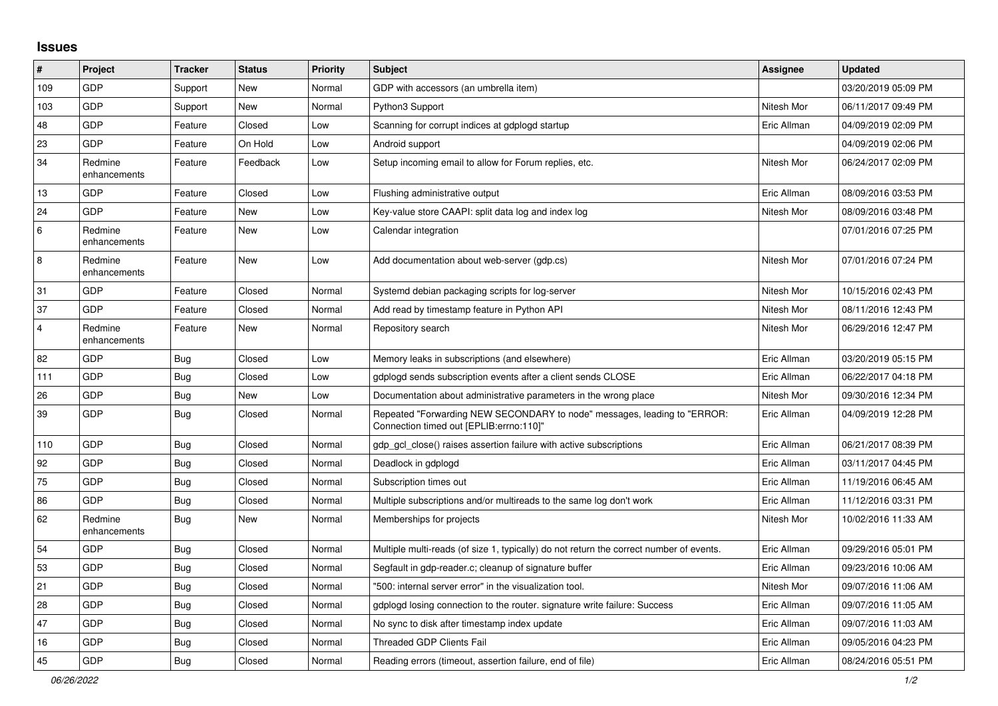## **Issues**

| $\vert$ #      | Project                 | <b>Tracker</b> | <b>Status</b> | <b>Priority</b> | <b>Subject</b>                                                                                                      | <b>Assignee</b> | <b>Updated</b>      |
|----------------|-------------------------|----------------|---------------|-----------------|---------------------------------------------------------------------------------------------------------------------|-----------------|---------------------|
| 109            | GDP                     | Support        | New           | Normal          | GDP with accessors (an umbrella item)                                                                               |                 | 03/20/2019 05:09 PM |
| 103            | GDP                     | Support        | New           | Normal          | Python3 Support                                                                                                     | Nitesh Mor      | 06/11/2017 09:49 PM |
| 48             | GDP                     | Feature        | Closed        | Low             | Scanning for corrupt indices at gdplogd startup                                                                     | Eric Allman     | 04/09/2019 02:09 PM |
| 23             | GDP                     | Feature        | On Hold       | Low             | Android support                                                                                                     |                 | 04/09/2019 02:06 PM |
| 34             | Redmine<br>enhancements | Feature        | Feedback      | Low             | Setup incoming email to allow for Forum replies, etc.                                                               | Nitesh Mor      | 06/24/2017 02:09 PM |
| 13             | GDP                     | Feature        | Closed        | Low             | Flushing administrative output                                                                                      | Eric Allman     | 08/09/2016 03:53 PM |
| 24             | GDP                     | Feature        | New           | Low             | Key-value store CAAPI: split data log and index log                                                                 | Nitesh Mor      | 08/09/2016 03:48 PM |
| 6              | Redmine<br>enhancements | Feature        | New           | Low             | Calendar integration                                                                                                |                 | 07/01/2016 07:25 PM |
| $\,8\,$        | Redmine<br>enhancements | Feature        | New           | Low             | Add documentation about web-server (gdp.cs)                                                                         | Nitesh Mor      | 07/01/2016 07:24 PM |
| 31             | GDP                     | Feature        | Closed        | Normal          | Systemd debian packaging scripts for log-server                                                                     | Nitesh Mor      | 10/15/2016 02:43 PM |
| 37             | GDP                     | Feature        | Closed        | Normal          | Add read by timestamp feature in Python API                                                                         | Nitesh Mor      | 08/11/2016 12:43 PM |
| $\overline{4}$ | Redmine<br>enhancements | Feature        | New           | Normal          | Repository search                                                                                                   | Nitesh Mor      | 06/29/2016 12:47 PM |
| 82             | GDP                     | <b>Bug</b>     | Closed        | Low             | Memory leaks in subscriptions (and elsewhere)                                                                       | Eric Allman     | 03/20/2019 05:15 PM |
| 111            | GDP                     | <b>Bug</b>     | Closed        | Low             | gdplogd sends subscription events after a client sends CLOSE                                                        | Eric Allman     | 06/22/2017 04:18 PM |
| 26             | GDP                     | <b>Bug</b>     | New           | Low             | Documentation about administrative parameters in the wrong place                                                    | Nitesh Mor      | 09/30/2016 12:34 PM |
| 39             | GDP                     | Bug            | Closed        | Normal          | Repeated "Forwarding NEW SECONDARY to node" messages, leading to "ERROR:<br>"Connection timed out [EPLIB:errno:110] | Eric Allman     | 04/09/2019 12:28 PM |
| 110            | GDP                     | <b>Bug</b>     | Closed        | Normal          | gdp gcl close() raises assertion failure with active subscriptions                                                  | Eric Allman     | 06/21/2017 08:39 PM |
| 92             | GDP                     | Bug            | Closed        | Normal          | Deadlock in gdplogd                                                                                                 | Eric Allman     | 03/11/2017 04:45 PM |
| 75             | GDP                     | <b>Bug</b>     | Closed        | Normal          | Subscription times out                                                                                              | Eric Allman     | 11/19/2016 06:45 AM |
| 86             | GDP                     | <b>Bug</b>     | Closed        | Normal          | Multiple subscriptions and/or multireads to the same log don't work                                                 | Eric Allman     | 11/12/2016 03:31 PM |
| 62             | Redmine<br>enhancements | <b>Bug</b>     | New           | Normal          | Memberships for projects                                                                                            | Nitesh Mor      | 10/02/2016 11:33 AM |
| 54             | GDP                     | <b>Bug</b>     | Closed        | Normal          | Multiple multi-reads (of size 1, typically) do not return the correct number of events.                             | Eric Allman     | 09/29/2016 05:01 PM |
| 53             | GDP                     | <b>Bug</b>     | Closed        | Normal          | Segfault in gdp-reader.c; cleanup of signature buffer                                                               | Eric Allman     | 09/23/2016 10:06 AM |
| 21             | GDP                     | <b>Bug</b>     | Closed        | Normal          | '500: internal server error" in the visualization tool.                                                             | Nitesh Mor      | 09/07/2016 11:06 AM |
| 28             | GDP                     | Bug            | Closed        | Normal          | gdplogd losing connection to the router, signature write failure: Success                                           | Eric Allman     | 09/07/2016 11:05 AM |
| 47             | GDP                     | <b>Bug</b>     | Closed        | Normal          | No sync to disk after timestamp index update                                                                        | Eric Allman     | 09/07/2016 11:03 AM |
| 16             | GDP                     | Bug            | Closed        | Normal          | <b>Threaded GDP Clients Fail</b>                                                                                    | Eric Allman     | 09/05/2016 04:23 PM |
| 45             | GDP                     | Bug            | Closed        | Normal          | Reading errors (timeout, assertion failure, end of file)                                                            | Eric Allman     | 08/24/2016 05:51 PM |